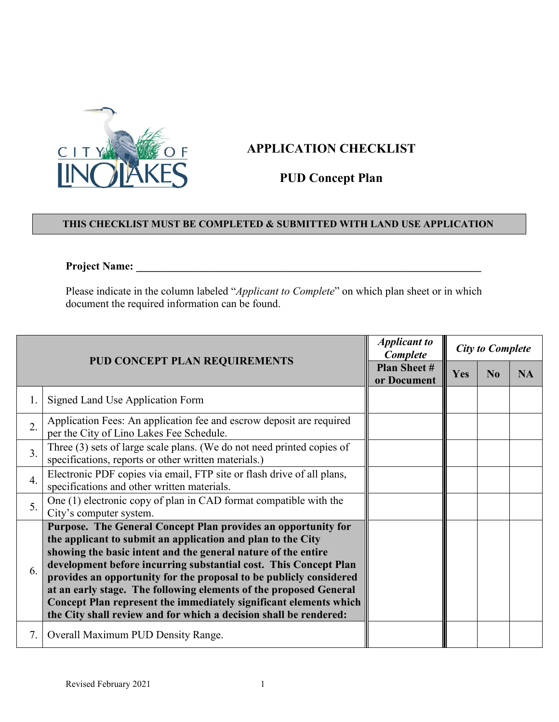

## **APPLICATION CHECKLIST**

## **PUD Concept Plan**

## **THIS CHECKLIST MUST BE COMPLETED & SUBMITTED WITH LAND USE APPLICATION**

## **Project Name: \_\_\_\_\_\_\_\_\_\_\_\_\_\_\_\_\_\_\_\_\_\_\_\_\_\_\_\_\_\_\_\_\_\_\_\_\_\_\_\_\_\_\_\_\_\_\_\_\_\_\_\_\_\_\_\_\_\_\_\_\_\_\_**

Please indicate in the column labeled "*Applicant to Complete*" on which plan sheet or in which document the required information can be found.

| <b>PUD CONCEPT PLAN REQUIREMENTS</b> |                                                                                                                                                                                                                                                                                                                                                                                                                                                                                                                                                        | <b>Applicant to</b><br>Complete   | <b>City to Complete</b> |                |           |
|--------------------------------------|--------------------------------------------------------------------------------------------------------------------------------------------------------------------------------------------------------------------------------------------------------------------------------------------------------------------------------------------------------------------------------------------------------------------------------------------------------------------------------------------------------------------------------------------------------|-----------------------------------|-------------------------|----------------|-----------|
|                                      |                                                                                                                                                                                                                                                                                                                                                                                                                                                                                                                                                        | <b>Plan Sheet#</b><br>or Document | <b>Yes</b>              | N <sub>0</sub> | <b>NA</b> |
| 1.                                   | Signed Land Use Application Form                                                                                                                                                                                                                                                                                                                                                                                                                                                                                                                       |                                   |                         |                |           |
| 2.                                   | Application Fees: An application fee and escrow deposit are required<br>per the City of Lino Lakes Fee Schedule.                                                                                                                                                                                                                                                                                                                                                                                                                                       |                                   |                         |                |           |
| $\overline{3}$ .                     | Three (3) sets of large scale plans. (We do not need printed copies of<br>specifications, reports or other written materials.)                                                                                                                                                                                                                                                                                                                                                                                                                         |                                   |                         |                |           |
| $\overline{4}$ .                     | Electronic PDF copies via email, FTP site or flash drive of all plans,<br>specifications and other written materials.                                                                                                                                                                                                                                                                                                                                                                                                                                  |                                   |                         |                |           |
| 5.                                   | One (1) electronic copy of plan in CAD format compatible with the<br>City's computer system.                                                                                                                                                                                                                                                                                                                                                                                                                                                           |                                   |                         |                |           |
| 6.                                   | Purpose. The General Concept Plan provides an opportunity for<br>the applicant to submit an application and plan to the City<br>showing the basic intent and the general nature of the entire<br>development before incurring substantial cost. This Concept Plan<br>provides an opportunity for the proposal to be publicly considered<br>at an early stage. The following elements of the proposed General<br>Concept Plan represent the immediately significant elements which<br>the City shall review and for which a decision shall be rendered: |                                   |                         |                |           |
| 7.                                   | Overall Maximum PUD Density Range.                                                                                                                                                                                                                                                                                                                                                                                                                                                                                                                     |                                   |                         |                |           |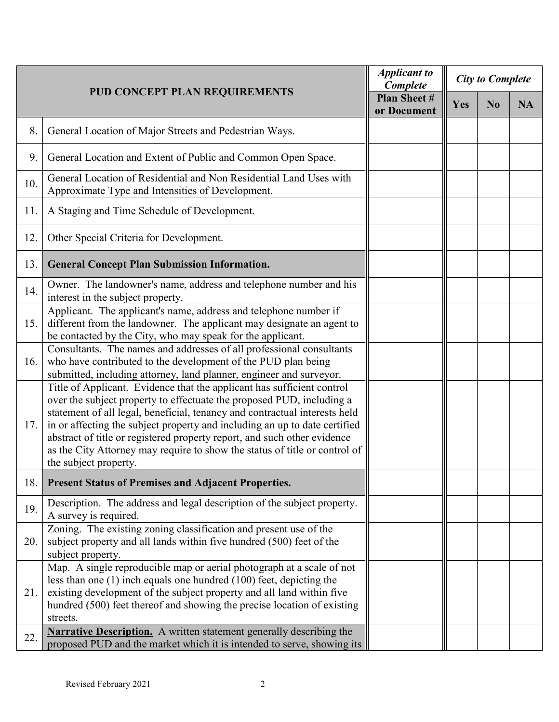|     |                                                                                                                                                                                                                                                                                                                                                                                                                                                                                                | <b>Applicant to</b><br>Complete | <b>City to Complete</b> |                |           |  |
|-----|------------------------------------------------------------------------------------------------------------------------------------------------------------------------------------------------------------------------------------------------------------------------------------------------------------------------------------------------------------------------------------------------------------------------------------------------------------------------------------------------|---------------------------------|-------------------------|----------------|-----------|--|
|     | <b>PUD CONCEPT PLAN REQUIREMENTS</b>                                                                                                                                                                                                                                                                                                                                                                                                                                                           |                                 | Yes                     | N <sub>0</sub> | <b>NA</b> |  |
| 8.  | General Location of Major Streets and Pedestrian Ways.                                                                                                                                                                                                                                                                                                                                                                                                                                         |                                 |                         |                |           |  |
| 9.  | General Location and Extent of Public and Common Open Space.                                                                                                                                                                                                                                                                                                                                                                                                                                   |                                 |                         |                |           |  |
| 10. | General Location of Residential and Non Residential Land Uses with<br>Approximate Type and Intensities of Development.                                                                                                                                                                                                                                                                                                                                                                         |                                 |                         |                |           |  |
| 11. | A Staging and Time Schedule of Development.                                                                                                                                                                                                                                                                                                                                                                                                                                                    |                                 |                         |                |           |  |
| 12. | Other Special Criteria for Development.                                                                                                                                                                                                                                                                                                                                                                                                                                                        |                                 |                         |                |           |  |
| 13. | <b>General Concept Plan Submission Information.</b>                                                                                                                                                                                                                                                                                                                                                                                                                                            |                                 |                         |                |           |  |
| 14. | Owner. The landowner's name, address and telephone number and his<br>interest in the subject property.                                                                                                                                                                                                                                                                                                                                                                                         |                                 |                         |                |           |  |
| 15. | Applicant. The applicant's name, address and telephone number if<br>different from the landowner. The applicant may designate an agent to<br>be contacted by the City, who may speak for the applicant.                                                                                                                                                                                                                                                                                        |                                 |                         |                |           |  |
| 16. | Consultants. The names and addresses of all professional consultants<br>who have contributed to the development of the PUD plan being<br>submitted, including attorney, land planner, engineer and surveyor.                                                                                                                                                                                                                                                                                   |                                 |                         |                |           |  |
| 17. | Title of Applicant. Evidence that the applicant has sufficient control<br>over the subject property to effectuate the proposed PUD, including a<br>statement of all legal, beneficial, tenancy and contractual interests held<br>in or affecting the subject property and including an up to date certified<br>abstract of title or registered property report, and such other evidence<br>as the City Attorney may require to show the status of title or control of<br>the subject property. |                                 |                         |                |           |  |
| 18. | <b>Present Status of Premises and Adjacent Properties.</b>                                                                                                                                                                                                                                                                                                                                                                                                                                     |                                 |                         |                |           |  |
| 19. | Description. The address and legal description of the subject property.<br>A survey is required.                                                                                                                                                                                                                                                                                                                                                                                               |                                 |                         |                |           |  |
| 20. | Zoning. The existing zoning classification and present use of the<br>subject property and all lands within five hundred (500) feet of the<br>subject property.                                                                                                                                                                                                                                                                                                                                 |                                 |                         |                |           |  |
| 21. | Map. A single reproducible map or aerial photograph at a scale of not<br>less than one $(1)$ inch equals one hundred $(100)$ feet, depicting the<br>existing development of the subject property and all land within five<br>hundred (500) feet thereof and showing the precise location of existing<br>streets.                                                                                                                                                                               |                                 |                         |                |           |  |
| 22. | <b>Narrative Description.</b> A written statement generally describing the<br>proposed PUD and the market which it is intended to serve, showing its                                                                                                                                                                                                                                                                                                                                           |                                 |                         |                |           |  |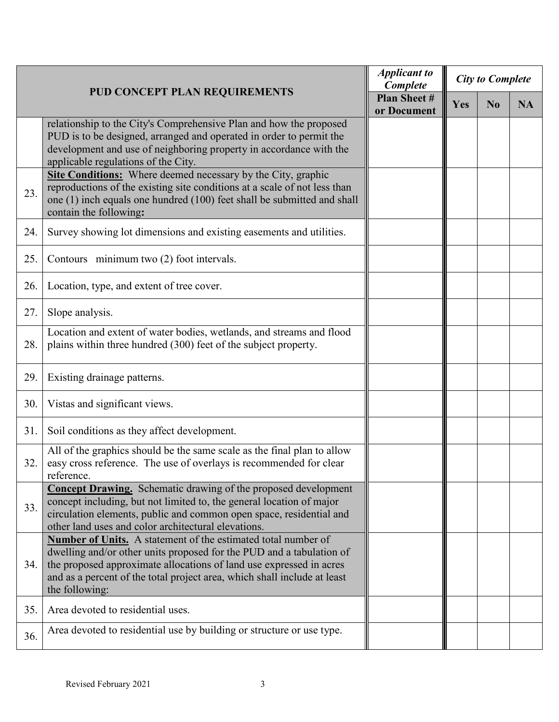|     |                                                                                                                                                                                                                                                                                                                   | <b>Applicant to</b><br>Complete | <b>City to Complete</b> |                |           |
|-----|-------------------------------------------------------------------------------------------------------------------------------------------------------------------------------------------------------------------------------------------------------------------------------------------------------------------|---------------------------------|-------------------------|----------------|-----------|
|     | PUD CONCEPT PLAN REQUIREMENTS                                                                                                                                                                                                                                                                                     |                                 | <b>Yes</b>              | N <sub>0</sub> | <b>NA</b> |
|     | relationship to the City's Comprehensive Plan and how the proposed<br>PUD is to be designed, arranged and operated in order to permit the<br>development and use of neighboring property in accordance with the<br>applicable regulations of the City.                                                            |                                 |                         |                |           |
| 23. | Site Conditions: Where deemed necessary by the City, graphic<br>reproductions of the existing site conditions at a scale of not less than<br>one (1) inch equals one hundred (100) feet shall be submitted and shall<br>contain the following:                                                                    |                                 |                         |                |           |
| 24. | Survey showing lot dimensions and existing easements and utilities.                                                                                                                                                                                                                                               |                                 |                         |                |           |
| 25. | Contours minimum two (2) foot intervals.                                                                                                                                                                                                                                                                          |                                 |                         |                |           |
| 26. | Location, type, and extent of tree cover.                                                                                                                                                                                                                                                                         |                                 |                         |                |           |
| 27. | Slope analysis.                                                                                                                                                                                                                                                                                                   |                                 |                         |                |           |
| 28. | Location and extent of water bodies, wetlands, and streams and flood<br>plains within three hundred (300) feet of the subject property.                                                                                                                                                                           |                                 |                         |                |           |
| 29. | Existing drainage patterns.                                                                                                                                                                                                                                                                                       |                                 |                         |                |           |
| 30. | Vistas and significant views.                                                                                                                                                                                                                                                                                     |                                 |                         |                |           |
| 31. | Soil conditions as they affect development.                                                                                                                                                                                                                                                                       |                                 |                         |                |           |
| 32. | All of the graphics should be the same scale as the final plan to allow<br>easy cross reference. The use of overlays is recommended for clear<br>reference.                                                                                                                                                       |                                 |                         |                |           |
| 33. | Concept Drawing. Schematic drawing of the proposed development<br>concept including, but not limited to, the general location of major<br>circulation elements, public and common open space, residential and<br>other land uses and color architectural elevations.                                              |                                 |                         |                |           |
| 34. | <b>Number of Units.</b> A statement of the estimated total number of<br>dwelling and/or other units proposed for the PUD and a tabulation of<br>the proposed approximate allocations of land use expressed in acres<br>and as a percent of the total project area, which shall include at least<br>the following: |                                 |                         |                |           |
| 35. | Area devoted to residential uses.                                                                                                                                                                                                                                                                                 |                                 |                         |                |           |
| 36. | Area devoted to residential use by building or structure or use type.                                                                                                                                                                                                                                             |                                 |                         |                |           |